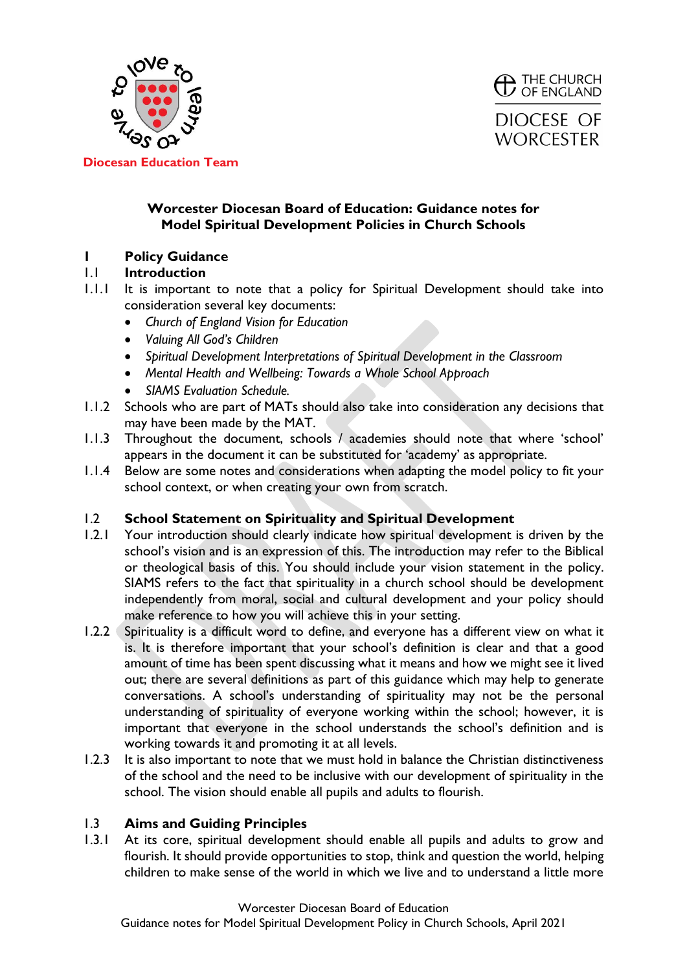



## **Worcester Diocesan Board of Education: Guidance notes for Model Spiritual Development Policies in Church Schools**

## **1 Policy Guidance**

## 1.1 **Introduction**

- 1.1.1 It is important to note that a policy for Spiritual Development should take into consideration several key documents:
	- *Church of England Vision for Education*
	- *Valuing All God's Children*
	- *Spiritual Development Interpretations of Spiritual Development in the Classroom*
	- *Mental Health and Wellbeing: Towards a Whole School Approach*
	- *SIAMS Evaluation Schedule.*
- 1.1.2 Schools who are part of MATs should also take into consideration any decisions that may have been made by the MAT.
- 1.1.3 Throughout the document, schools / academies should note that where 'school' appears in the document it can be substituted for 'academy' as appropriate.
- 1.1.4 Below are some notes and considerations when adapting the model policy to fit your school context, or when creating your own from scratch.

## 1.2 **School Statement on Spirituality and Spiritual Development**

- 1.2.1 Your introduction should clearly indicate how spiritual development is driven by the school's vision and is an expression of this. The introduction may refer to the Biblical or theological basis of this. You should include your vision statement in the policy. SIAMS refers to the fact that spirituality in a church school should be development independently from moral, social and cultural development and your policy should make reference to how you will achieve this in your setting.
- 1.2.2 Spirituality is a difficult word to define, and everyone has a different view on what it is. It is therefore important that your school's definition is clear and that a good amount of time has been spent discussing what it means and how we might see it lived out; there are several definitions as part of this guidance which may help to generate conversations. A school's understanding of spirituality may not be the personal understanding of spirituality of everyone working within the school; however, it is important that everyone in the school understands the school's definition and is working towards it and promoting it at all levels.
- 1.2.3 It is also important to note that we must hold in balance the Christian distinctiveness of the school and the need to be inclusive with our development of spirituality in the school. The vision should enable all pupils and adults to flourish.

# 1.3 **Aims and Guiding Principles**

1.3.1 At its core, spiritual development should enable all pupils and adults to grow and flourish. It should provide opportunities to stop, think and question the world, helping children to make sense of the world in which we live and to understand a little more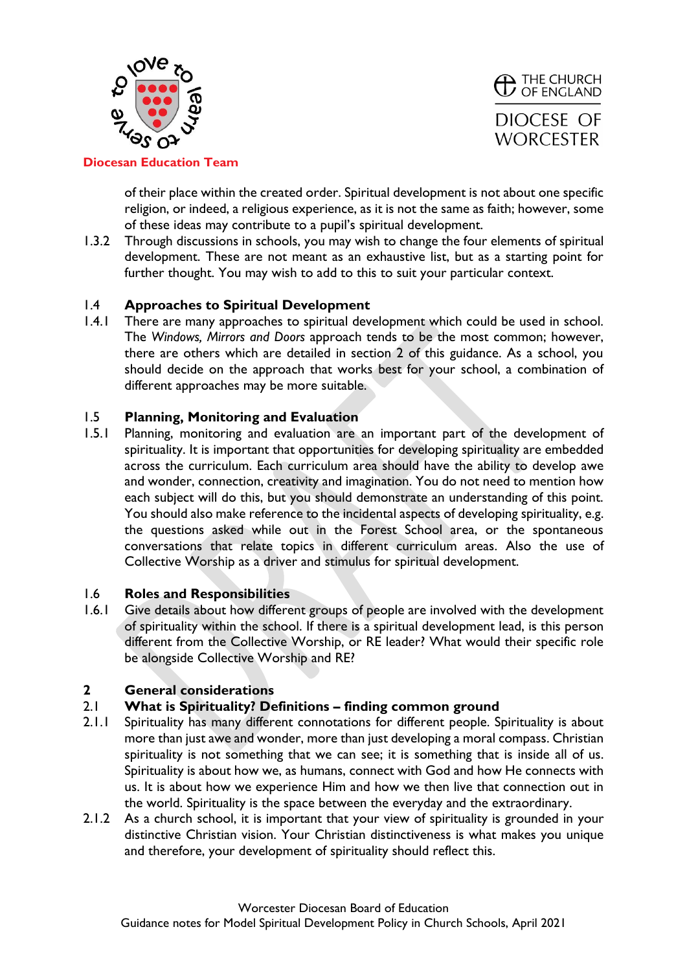



of their place within the created order. Spiritual development is not about one specific religion, or indeed, a religious experience, as it is not the same as faith; however, some of these ideas may contribute to a pupil's spiritual development.

1.3.2 Through discussions in schools, you may wish to change the four elements of spiritual development. These are not meant as an exhaustive list, but as a starting point for further thought. You may wish to add to this to suit your particular context.

### 1.4 **Approaches to Spiritual Development**

1.4.1 There are many approaches to spiritual development which could be used in school. The *Windows, Mirrors and Doors* approach tends to be the most common; however, there are others which are detailed in section 2 of this guidance. As a school, you should decide on the approach that works best for your school, a combination of different approaches may be more suitable.

### 1.5 **Planning, Monitoring and Evaluation**

1.5.1 Planning, monitoring and evaluation are an important part of the development of spirituality. It is important that opportunities for developing spirituality are embedded across the curriculum. Each curriculum area should have the ability to develop awe and wonder, connection, creativity and imagination. You do not need to mention how each subject will do this, but you should demonstrate an understanding of this point. You should also make reference to the incidental aspects of developing spirituality, e.g. the questions asked while out in the Forest School area, or the spontaneous conversations that relate topics in different curriculum areas. Also the use of Collective Worship as a driver and stimulus for spiritual development.

#### 1.6 **Roles and Responsibilities**

1.6.1 Give details about how different groups of people are involved with the development of spirituality within the school. If there is a spiritual development lead, is this person different from the Collective Worship, or RE leader? What would their specific role be alongside Collective Worship and RE?

## **2 General considerations**

#### 2.1 **What is Spirituality? Definitions – finding common ground**

- 2.1.1 Spirituality has many different connotations for different people. Spirituality is about more than just awe and wonder, more than just developing a moral compass. Christian spirituality is not something that we can see; it is something that is inside all of us. Spirituality is about how we, as humans, connect with God and how He connects with us. It is about how we experience Him and how we then live that connection out in the world. Spirituality is the space between the everyday and the extraordinary.
- 2.1.2 As a church school, it is important that your view of spirituality is grounded in your distinctive Christian vision. Your Christian distinctiveness is what makes you unique and therefore, your development of spirituality should reflect this.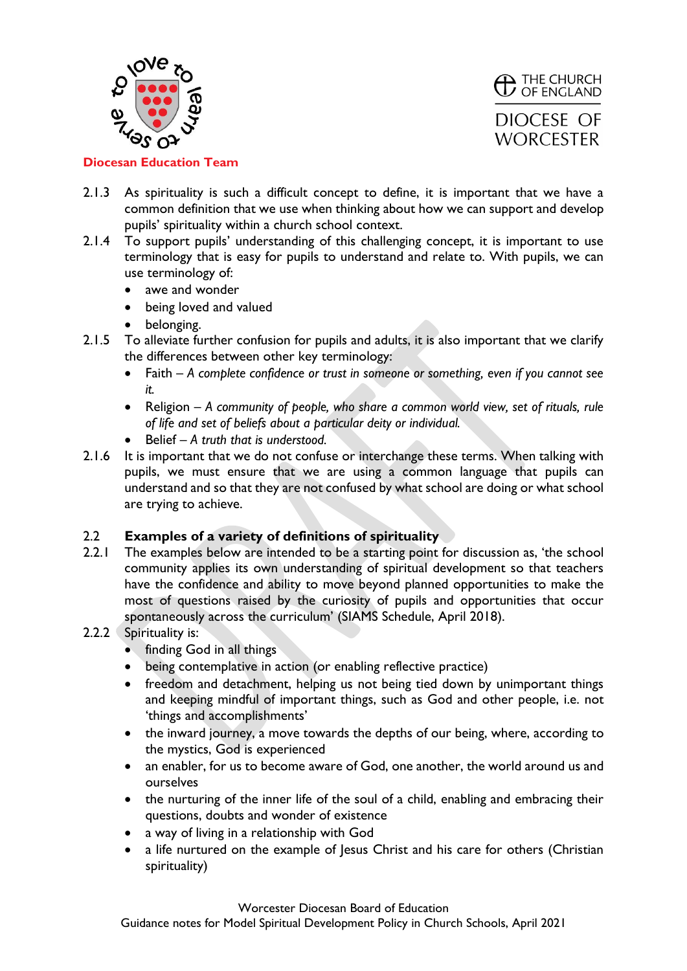



- 2.1.3 As spirituality is such a difficult concept to define, it is important that we have a common definition that we use when thinking about how we can support and develop pupils' spirituality within a church school context.
- 2.1.4 To support pupils' understanding of this challenging concept, it is important to use terminology that is easy for pupils to understand and relate to. With pupils, we can use terminology of:
	- awe and wonder
	- being loved and valued
	- belonging.
- 2.1.5 To alleviate further confusion for pupils and adults, it is also important that we clarify the differences between other key terminology:
	- Faith *A complete confidence or trust in someone or something, even if you cannot see it.*
	- Religion *A community of people, who share a common world view, set of rituals, rule of life and set of beliefs about a particular deity or individual.*
	- Belief *A truth that is understood.*
- 2.1.6 It is important that we do not confuse or interchange these terms. When talking with pupils, we must ensure that we are using a common language that pupils can understand and so that they are not confused by what school are doing or what school are trying to achieve.

## 2.2 **Examples of a variety of definitions of spirituality**

- 2.2.1 The examples below are intended to be a starting point for discussion as, 'the school community applies its own understanding of spiritual development so that teachers have the confidence and ability to move beyond planned opportunities to make the most of questions raised by the curiosity of pupils and opportunities that occur spontaneously across the curriculum' (SIAMS Schedule, April 2018).
- 2.2.2 Spirituality is:
	- finding God in all things
	- being contemplative in action (or enabling reflective practice)
	- freedom and detachment, helping us not being tied down by unimportant things and keeping mindful of important things, such as God and other people, i.e. not 'things and accomplishments'
	- the inward journey, a move towards the depths of our being, where, according to the mystics, God is experienced
	- an enabler, for us to become aware of God, one another, the world around us and ourselves
	- the nurturing of the inner life of the soul of a child, enabling and embracing their questions, doubts and wonder of existence
	- a way of living in a relationship with God
	- a life nurtured on the example of Jesus Christ and his care for others (Christian spirituality)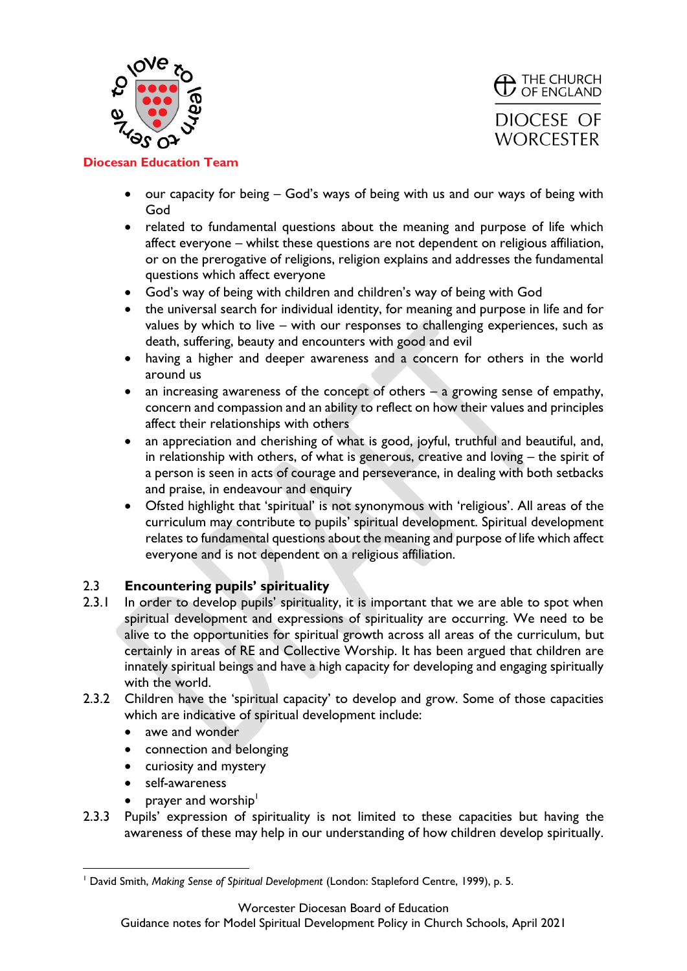



- our capacity for being God's ways of being with us and our ways of being with God
- related to fundamental questions about the meaning and purpose of life which affect everyone – whilst these questions are not dependent on religious affiliation, or on the prerogative of religions, religion explains and addresses the fundamental questions which affect everyone
- God's way of being with children and children's way of being with God
- the universal search for individual identity, for meaning and purpose in life and for values by which to live – with our responses to challenging experiences, such as death, suffering, beauty and encounters with good and evil
- having a higher and deeper awareness and a concern for others in the world around us
- an increasing awareness of the concept of others a growing sense of empathy, concern and compassion and an ability to reflect on how their values and principles affect their relationships with others
- an appreciation and cherishing of what is good, joyful, truthful and beautiful, and, in relationship with others, of what is generous, creative and loving – the spirit of a person is seen in acts of courage and perseverance, in dealing with both setbacks and praise, in endeavour and enquiry
- Ofsted highlight that 'spiritual' is not synonymous with 'religious'. All areas of the curriculum may contribute to pupils' spiritual development. Spiritual development relates to fundamental questions about the meaning and purpose of life which affect everyone and is not dependent on a religious affiliation.

## 2.3 **Encountering pupils' spirituality**

- 2.3.1 In order to develop pupils' spirituality, it is important that we are able to spot when spiritual development and expressions of spirituality are occurring. We need to be alive to the opportunities for spiritual growth across all areas of the curriculum, but certainly in areas of RE and Collective Worship. It has been argued that children are innately spiritual beings and have a high capacity for developing and engaging spiritually with the world.
- 2.3.2 Children have the 'spiritual capacity' to develop and grow. Some of those capacities which are indicative of spiritual development include:
	- awe and wonder
	- connection and belonging
	- curiosity and mystery
	- self-awareness
	- prayer and worship<sup>1</sup>
- 2.3.3 Pupils' expression of spirituality is not limited to these capacities but having the awareness of these may help in our understanding of how children develop spiritually.

Worcester Diocesan Board of Education

Guidance notes for Model Spiritual Development Policy in Church Schools, April 2021

<sup>1</sup> David Smith, *Making Sense of Spiritual Development* (London: Stapleford Centre, 1999), p. 5.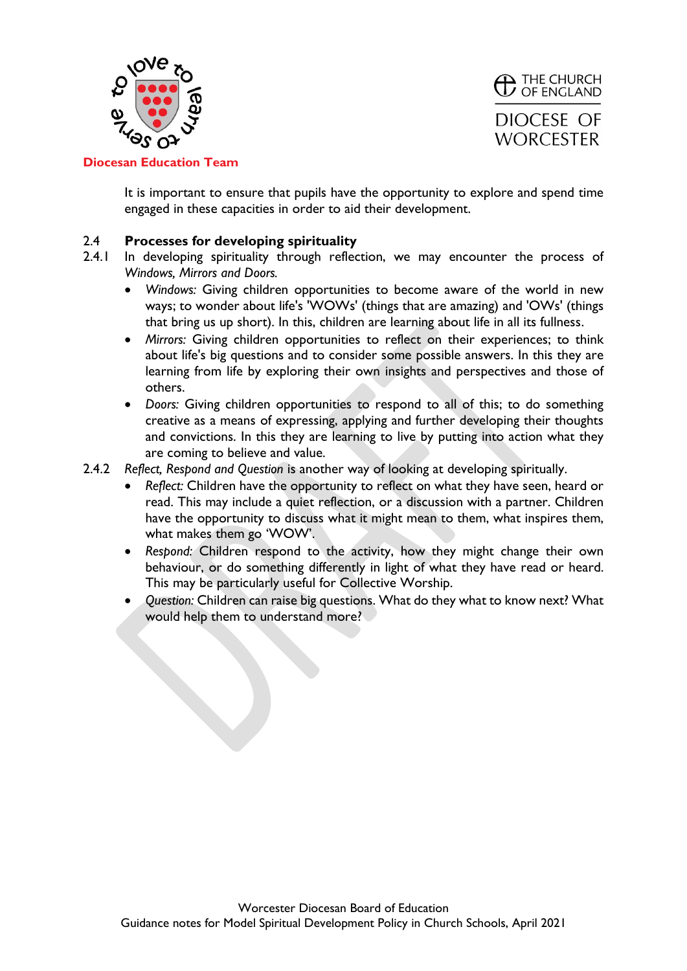



It is important to ensure that pupils have the opportunity to explore and spend time engaged in these capacities in order to aid their development.

#### 2.4 **Processes for developing spirituality**

- 2.4.1 In developing spirituality through reflection, we may encounter the process of *Windows, Mirrors and Doors.* 
	- *Windows:* Giving children opportunities to become aware of the world in new ways; to wonder about life's 'WOWs' (things that are amazing) and 'OWs' (things that bring us up short). In this, children are learning about life in all its fullness.
	- *Mirrors:* Giving children opportunities to reflect on their experiences; to think about life's big questions and to consider some possible answers. In this they are learning from life by exploring their own insights and perspectives and those of others.
	- *Doors:* Giving children opportunities to respond to all of this; to do something creative as a means of expressing, applying and further developing their thoughts and convictions. In this they are learning to live by putting into action what they are coming to believe and value.
- 2.4.2 *Reflect, Respond and Question* is another way of looking at developing spiritually.
	- *Reflect:* Children have the opportunity to reflect on what they have seen, heard or read. This may include a quiet reflection, or a discussion with a partner. Children have the opportunity to discuss what it might mean to them, what inspires them, what makes them go 'WOW'.
	- *Respond:* Children respond to the activity, how they might change their own behaviour, or do something differently in light of what they have read or heard. This may be particularly useful for Collective Worship.
	- *Question:* Children can raise big questions. What do they what to know next? What would help them to understand more?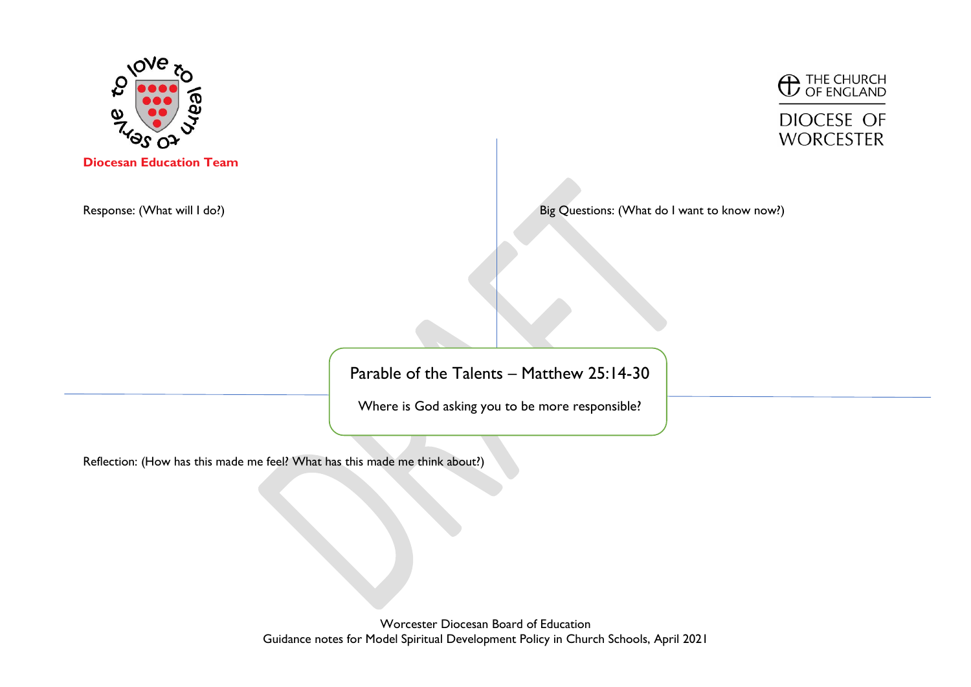

**C** THE CHURCH

**DIOCESE OF WORCESTER** 

Response: (What will I do?) **Big Questions: (What do I want to know now**?) **Big Questions: (What do I want to know now**?)

Parable of the Talents – Matthew 25:14-30

Where is God asking you to be more responsible?

Reflection: (How has this made me feel? What has this made me think about?)

Worcester Diocesan Board of Education Guidance notes for Model Spiritual Development Policy in Church Schools, April 2021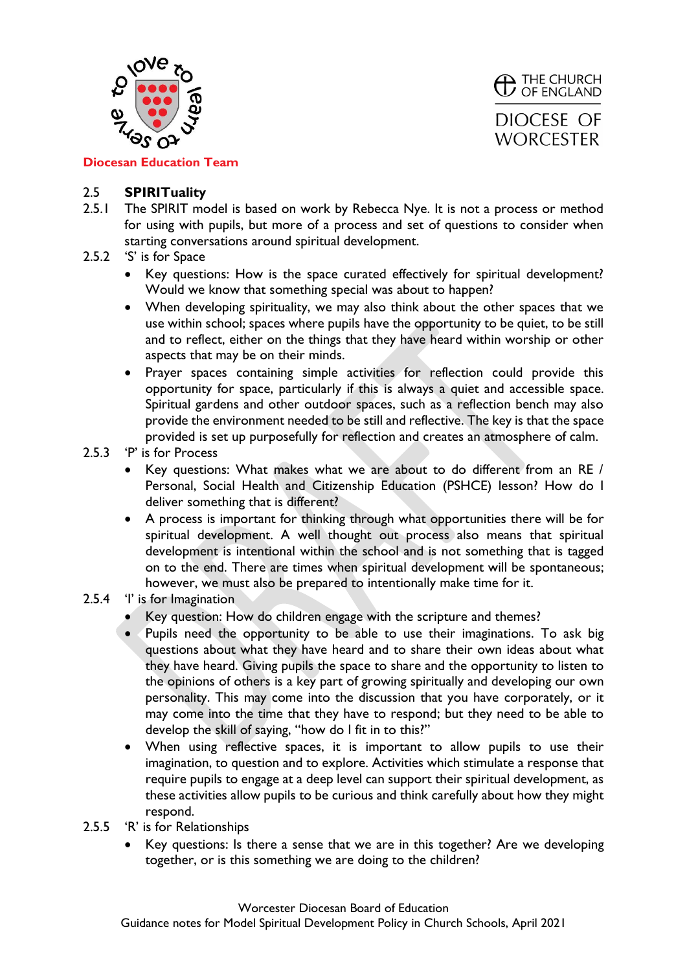



**Diocesan Education Team**

## 2.5 **SPIRITuality**

- 2.5.1 The SPIRIT model is based on work by Rebecca Nye. It is not a process or method for using with pupils, but more of a process and set of questions to consider when starting conversations around spiritual development.
- 2.5.2 'S' is for Space
	- Key questions: How is the space curated effectively for spiritual development? Would we know that something special was about to happen?
	- When developing spirituality, we may also think about the other spaces that we use within school; spaces where pupils have the opportunity to be quiet, to be still and to reflect, either on the things that they have heard within worship or other aspects that may be on their minds.
	- Prayer spaces containing simple activities for reflection could provide this opportunity for space, particularly if this is always a quiet and accessible space. Spiritual gardens and other outdoor spaces, such as a reflection bench may also provide the environment needed to be still and reflective. The key is that the space provided is set up purposefully for reflection and creates an atmosphere of calm.
- 2.5.3 'P' is for Process
	- Key questions: What makes what we are about to do different from an RE / Personal, Social Health and Citizenship Education (PSHCE) lesson? How do I deliver something that is different?
	- A process is important for thinking through what opportunities there will be for spiritual development. A well thought out process also means that spiritual development is intentional within the school and is not something that is tagged on to the end. There are times when spiritual development will be spontaneous; however, we must also be prepared to intentionally make time for it.
- 2.5.4 'I' is for Imagination
	- Key question: How do children engage with the scripture and themes?
	- Pupils need the opportunity to be able to use their imaginations. To ask big questions about what they have heard and to share their own ideas about what they have heard. Giving pupils the space to share and the opportunity to listen to the opinions of others is a key part of growing spiritually and developing our own personality. This may come into the discussion that you have corporately, or it may come into the time that they have to respond; but they need to be able to develop the skill of saying, "how do I fit in to this?"
	- When using reflective spaces, it is important to allow pupils to use their imagination, to question and to explore. Activities which stimulate a response that require pupils to engage at a deep level can support their spiritual development, as these activities allow pupils to be curious and think carefully about how they might respond.
- 2.5.5 'R' is for Relationships
	- Key questions: Is there a sense that we are in this together? Are we developing together, or is this something we are doing to the children?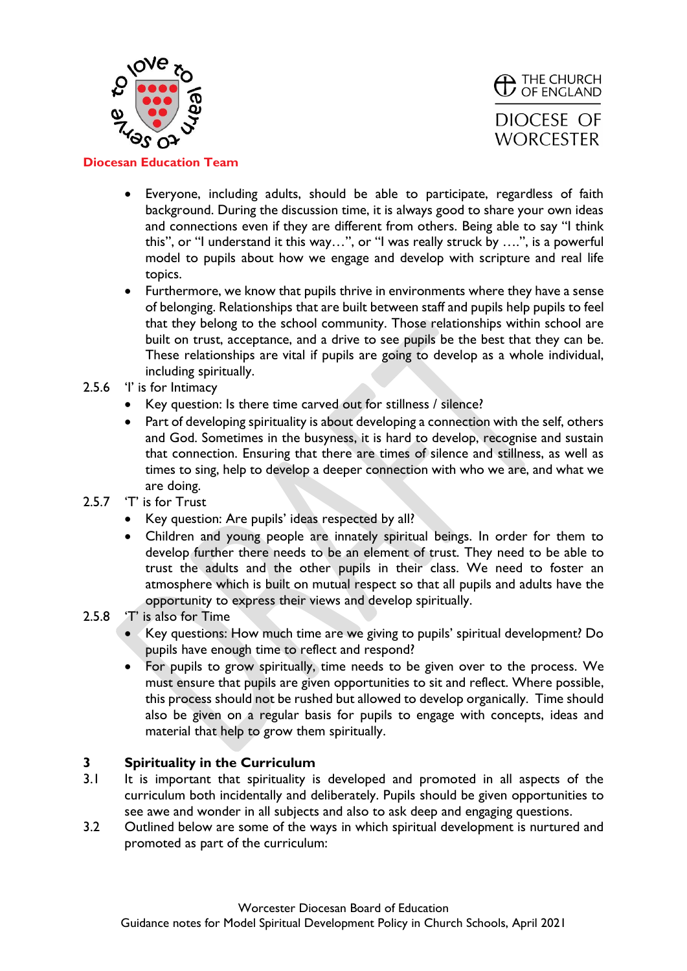



- Everyone, including adults, should be able to participate, regardless of faith background. During the discussion time, it is always good to share your own ideas and connections even if they are different from others. Being able to say "I think this", or "I understand it this way…", or "I was really struck by ….", is a powerful model to pupils about how we engage and develop with scripture and real life topics.
- Furthermore, we know that pupils thrive in environments where they have a sense of belonging. Relationships that are built between staff and pupils help pupils to feel that they belong to the school community. Those relationships within school are built on trust, acceptance, and a drive to see pupils be the best that they can be. These relationships are vital if pupils are going to develop as a whole individual, including spiritually.
- 2.5.6 'I' is for Intimacy
	- Key question: Is there time carved out for stillness / silence?
	- Part of developing spirituality is about developing a connection with the self, others and God. Sometimes in the busyness, it is hard to develop, recognise and sustain that connection. Ensuring that there are times of silence and stillness, as well as times to sing, help to develop a deeper connection with who we are, and what we are doing.
- 2.5.7 'T' is for Trust
	- Key question: Are pupils' ideas respected by all?
	- Children and young people are innately spiritual beings. In order for them to develop further there needs to be an element of trust. They need to be able to trust the adults and the other pupils in their class. We need to foster an atmosphere which is built on mutual respect so that all pupils and adults have the opportunity to express their views and develop spiritually.
- 2.5.8 'T' is also for Time
	- Key questions: How much time are we giving to pupils' spiritual development? Do pupils have enough time to reflect and respond?
	- For pupils to grow spiritually, time needs to be given over to the process. We must ensure that pupils are given opportunities to sit and reflect. Where possible, this process should not be rushed but allowed to develop organically. Time should also be given on a regular basis for pupils to engage with concepts, ideas and material that help to grow them spiritually.

## **3 Spirituality in the Curriculum**

- 3.1 It is important that spirituality is developed and promoted in all aspects of the curriculum both incidentally and deliberately. Pupils should be given opportunities to see awe and wonder in all subjects and also to ask deep and engaging questions.
- 3.2 Outlined below are some of the ways in which spiritual development is nurtured and promoted as part of the curriculum: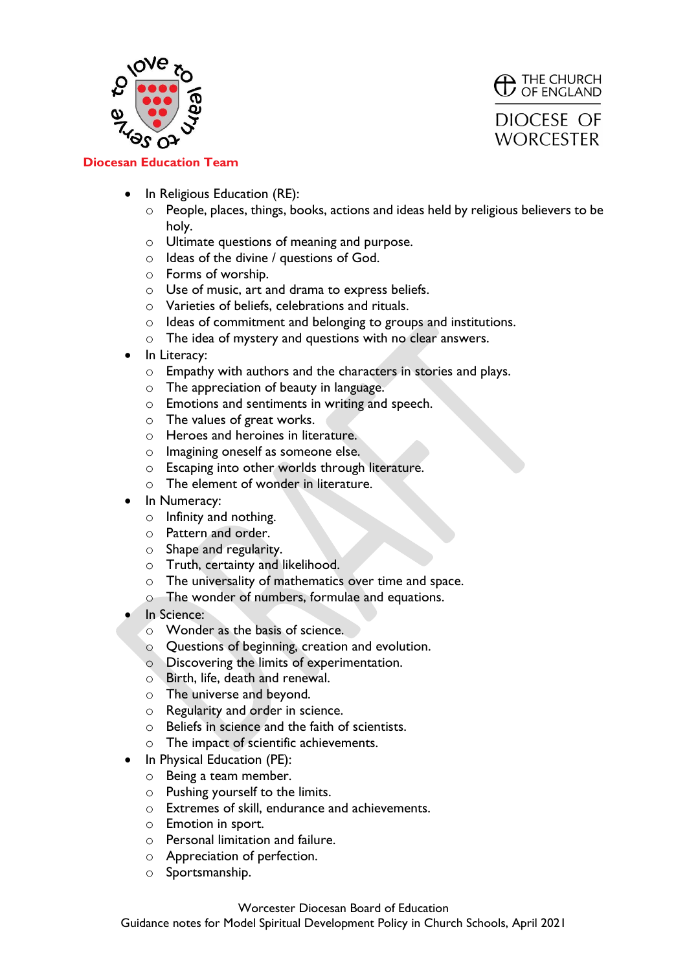



- In Religious Education (RE):
	- $\circ$  People, places, things, books, actions and ideas held by religious believers to be holy.
	- o Ultimate questions of meaning and purpose.
	- o Ideas of the divine / questions of God.
	- o Forms of worship.
	- o Use of music, art and drama to express beliefs.
	- o Varieties of beliefs, celebrations and rituals.
	- o Ideas of commitment and belonging to groups and institutions.
	- o The idea of mystery and questions with no clear answers.
- In Literacy:
	- o Empathy with authors and the characters in stories and plays.
	- o The appreciation of beauty in language.
	- o Emotions and sentiments in writing and speech.
	- o The values of great works.
	- o Heroes and heroines in literature.
	- o Imagining oneself as someone else.
	- o Escaping into other worlds through literature.
	- o The element of wonder in literature.
- In Numeracy:
	- o Infinity and nothing.
	- o Pattern and order.
	- o Shape and regularity.
	- o Truth, certainty and likelihood.
	- o The universality of mathematics over time and space.
	- o The wonder of numbers, formulae and equations.
- In Science:
	- o Wonder as the basis of science.
	- o Questions of beginning, creation and evolution.
	- o Discovering the limits of experimentation.
	- o Birth, life, death and renewal.
	- o The universe and beyond.
	- o Regularity and order in science.
	- o Beliefs in science and the faith of scientists.
	- o The impact of scientific achievements.
- In Physical Education (PE):
	- o Being a team member.
	- o Pushing yourself to the limits.
	- o Extremes of skill, endurance and achievements.
	- o Emotion in sport.
	- o Personal limitation and failure.
	- o Appreciation of perfection.
	- o Sportsmanship.

#### Worcester Diocesan Board of Education

Guidance notes for Model Spiritual Development Policy in Church Schools, April 2021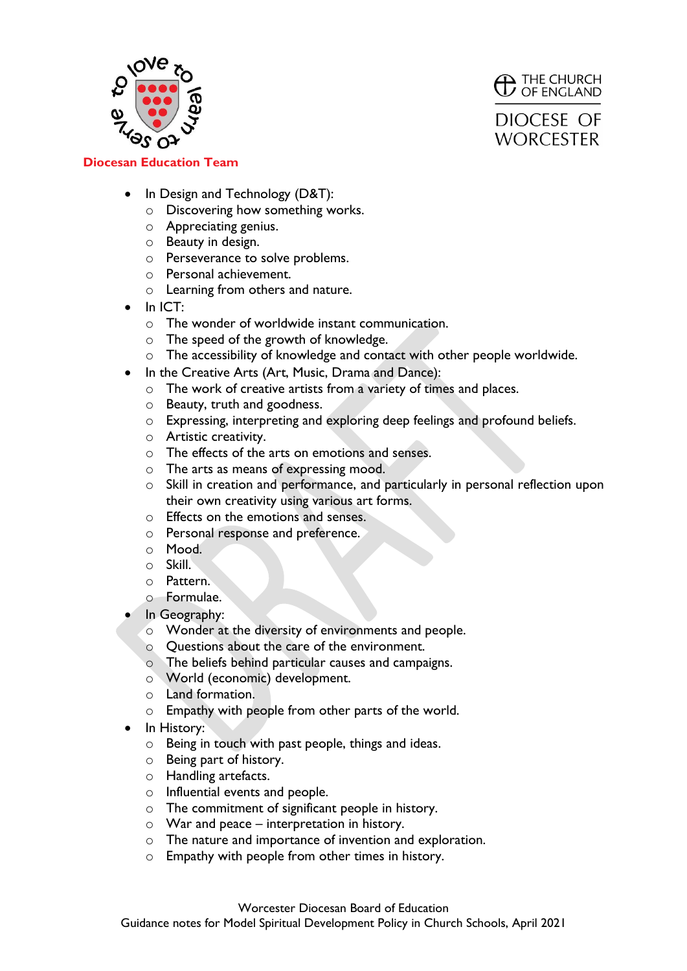



- In Design and Technology (D&T):
	- o Discovering how something works.
	- o Appreciating genius.
	- o Beauty in design.
	- o Perseverance to solve problems.
	- o Personal achievement.
	- o Learning from others and nature.
- In ICT:
	- o The wonder of worldwide instant communication.
	- o The speed of the growth of knowledge.
	- o The accessibility of knowledge and contact with other people worldwide.
- In the Creative Arts (Art, Music, Drama and Dance):
	- o The work of creative artists from a variety of times and places.
	- o Beauty, truth and goodness.
	- o Expressing, interpreting and exploring deep feelings and profound beliefs.
	- o Artistic creativity.
	- o The effects of the arts on emotions and senses.
	- o The arts as means of expressing mood.
	- o Skill in creation and performance, and particularly in personal reflection upon their own creativity using various art forms.
	- o Effects on the emotions and senses.
	- o Personal response and preference.
	- o Mood.
	- o Skill.
	- o Pattern.
	- o Formulae.
- In Geography:
	- o Wonder at the diversity of environments and people.
	- o Questions about the care of the environment.
	- o The beliefs behind particular causes and campaigns.
	- o World (economic) development.
	- o Land formation.
	- o Empathy with people from other parts of the world.
- In History:
	- o Being in touch with past people, things and ideas.
	- o Being part of history.
	- o Handling artefacts.
	- o Influential events and people.
	- o The commitment of significant people in history.
	- $\circ$  War and peace interpretation in history.
	- o The nature and importance of invention and exploration.
	- o Empathy with people from other times in history.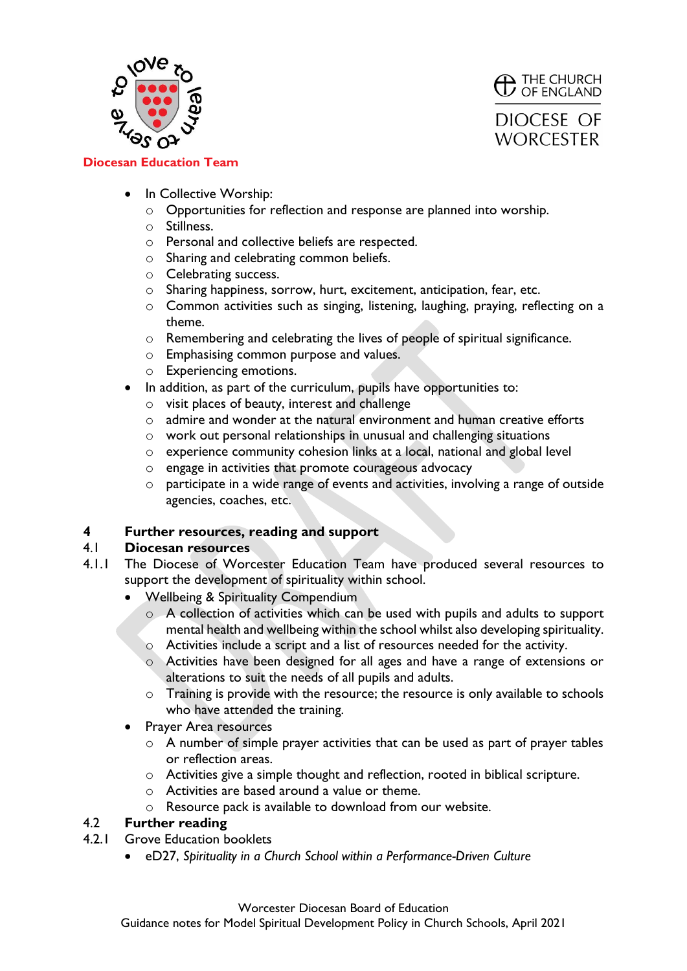



- In Collective Worship:
	- o Opportunities for reflection and response are planned into worship.
	- o Stillness.
	- o Personal and collective beliefs are respected.
	- o Sharing and celebrating common beliefs.
	- o Celebrating success.
	- o Sharing happiness, sorrow, hurt, excitement, anticipation, fear, etc.
	- o Common activities such as singing, listening, laughing, praying, reflecting on a theme.
	- o Remembering and celebrating the lives of people of spiritual significance.
	- o Emphasising common purpose and values.
	- o Experiencing emotions.
- In addition, as part of the curriculum, pupils have opportunities to:
	- o visit places of beauty, interest and challenge
	- $\circ$  admire and wonder at the natural environment and human creative efforts
	- o work out personal relationships in unusual and challenging situations
	- o experience community cohesion links at a local, national and global level
	- o engage in activities that promote courageous advocacy
	- o participate in a wide range of events and activities, involving a range of outside agencies, coaches, etc.

## **4 Further resources, reading and support**

#### 4.1 **Diocesan resources**

- 4.1.1 The Diocese of Worcester Education Team have produced several resources to support the development of spirituality within school.
	- Wellbeing & Spirituality Compendium
		- o A collection of activities which can be used with pupils and adults to support mental health and wellbeing within the school whilst also developing spirituality.
		- o Activities include a script and a list of resources needed for the activity.
		- o Activities have been designed for all ages and have a range of extensions or alterations to suit the needs of all pupils and adults.
		- o Training is provide with the resource; the resource is only available to schools who have attended the training.
	- Prayer Area resources
		- o A number of simple prayer activities that can be used as part of prayer tables or reflection areas.
		- o Activities give a simple thought and reflection, rooted in biblical scripture.
		- o Activities are based around a value or theme.
		- o Resource pack is available to download from our website.

## 4.2 **Further reading**

- 4.2.1 Grove Education booklets
	- eD27, *Spirituality in a Church School within a Performance-Driven Culture*